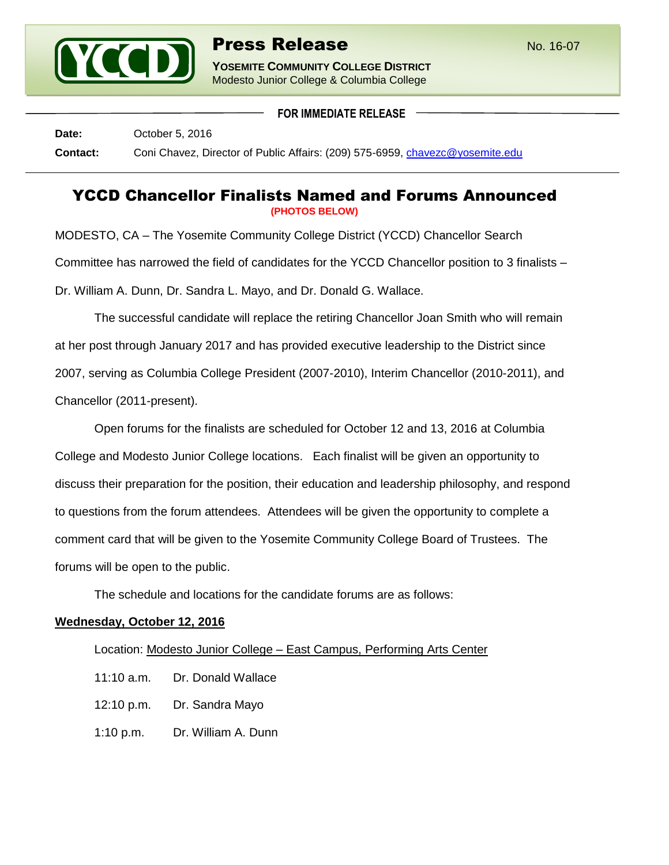

**YOSEMITE COMMUNITY COLLEGE DISTRICT** Modesto Junior College & Columbia College

**FOR IMMEDIATE RELEASE**

**Date:** October 5, 2016 **Contact:** Coni Chavez, Director of Public Affairs: (209) 575-6959, [chavezc@yosemite.edu](mailto:chavezc@yosemite.edu)

## YCCD Chancellor Finalists Named and Forums Announced **(PHOTOS BELOW)**

MODESTO, CA – The Yosemite Community College District (YCCD) Chancellor Search Committee has narrowed the field of candidates for the YCCD Chancellor position to 3 finalists – Dr. William A. Dunn, Dr. Sandra L. Mayo, and Dr. Donald G. Wallace.

The successful candidate will replace the retiring Chancellor Joan Smith who will remain at her post through January 2017 and has provided executive leadership to the District since 2007, serving as Columbia College President (2007-2010), Interim Chancellor (2010-2011), and Chancellor (2011-present).

Open forums for the finalists are scheduled for October 12 and 13, 2016 at Columbia College and Modesto Junior College locations. Each finalist will be given an opportunity to discuss their preparation for the position, their education and leadership philosophy, and respond to questions from the forum attendees. Attendees will be given the opportunity to complete a comment card that will be given to the Yosemite Community College Board of Trustees. The forums will be open to the public.

The schedule and locations for the candidate forums are as follows:

## **Wednesday, October 12, 2016**

Location: Modesto Junior College – East Campus, Performing Arts Center

- 11:10 a.m. Dr. Donald Wallace
- 12:10 p.m. Dr. Sandra Mayo
- 1:10 p.m. Dr. William A. Dunn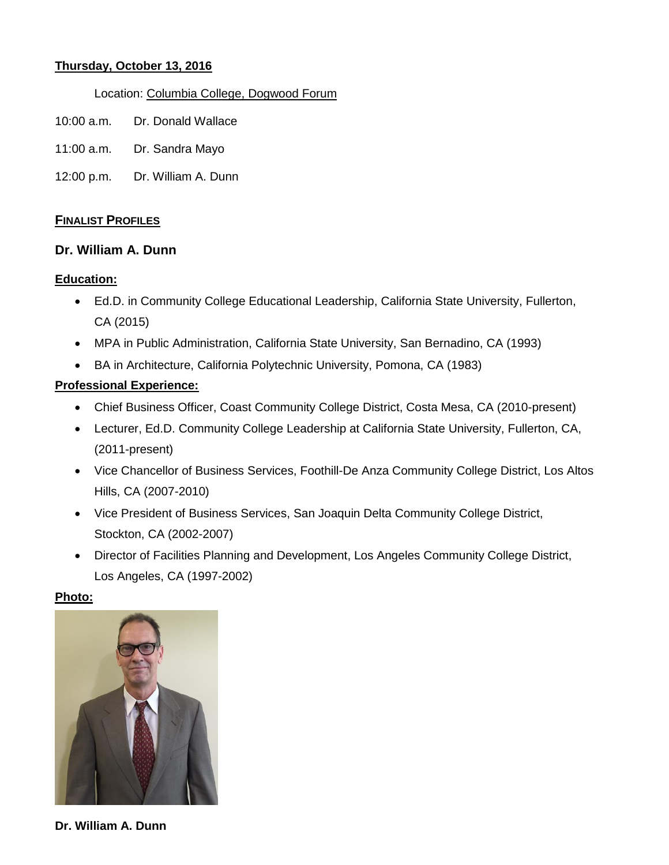### **Thursday, October 13, 2016**

#### Location: Columbia College, Dogwood Forum

- 10:00 a.m. Dr. Donald Wallace
- 11:00 a.m. Dr. Sandra Mayo
- 12:00 p.m. Dr. William A. Dunn

### **FINALIST PROFILES**

### **Dr. William A. Dunn**

#### **Education:**

- Ed.D. in Community College Educational Leadership, California State University, Fullerton, CA (2015)
- MPA in Public Administration, California State University, San Bernadino, CA (1993)
- BA in Architecture, California Polytechnic University, Pomona, CA (1983)

### **Professional Experience:**

- Chief Business Officer, Coast Community College District, Costa Mesa, CA (2010-present)
- Lecturer, Ed.D. Community College Leadership at California State University, Fullerton, CA, (2011-present)
- Vice Chancellor of Business Services, Foothill-De Anza Community College District, Los Altos Hills, CA (2007-2010)
- Vice President of Business Services, San Joaquin Delta Community College District, Stockton, CA (2002-2007)
- Director of Facilities Planning and Development, Los Angeles Community College District, Los Angeles, CA (1997-2002)

#### **Photo:**



**Dr. William A. Dunn**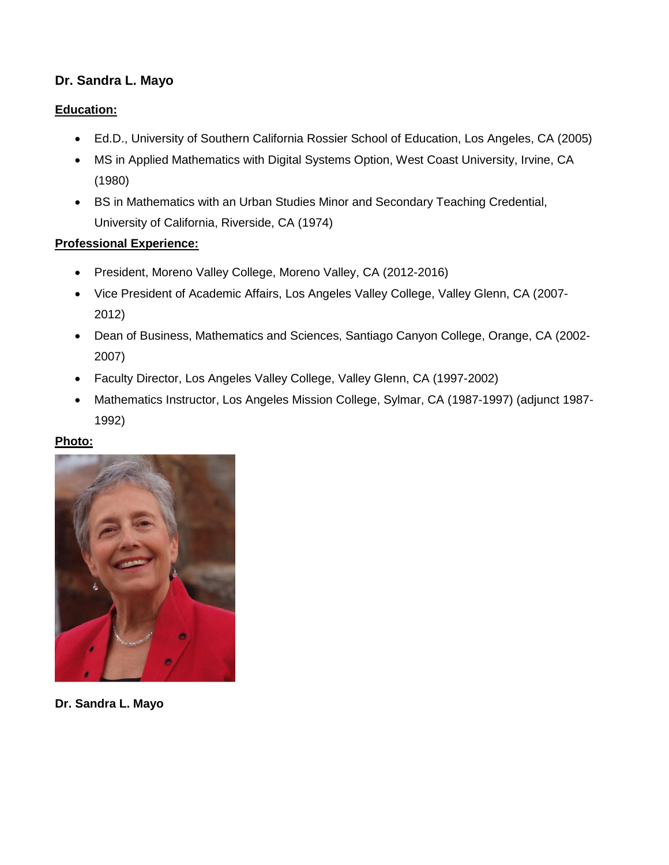# **Dr. Sandra L. Mayo**

## **Education:**

- Ed.D., University of Southern California Rossier School of Education, Los Angeles, CA (2005)
- MS in Applied Mathematics with Digital Systems Option, West Coast University, Irvine, CA (1980)
- BS in Mathematics with an Urban Studies Minor and Secondary Teaching Credential, University of California, Riverside, CA (1974)

## **Professional Experience:**

- President, Moreno Valley College, Moreno Valley, CA (2012-2016)
- Vice President of Academic Affairs, Los Angeles Valley College, Valley Glenn, CA (2007- 2012)
- Dean of Business, Mathematics and Sciences, Santiago Canyon College, Orange, CA (2002- 2007)
- Faculty Director, Los Angeles Valley College, Valley Glenn, CA (1997-2002)
- Mathematics Instructor, Los Angeles Mission College, Sylmar, CA (1987-1997) (adjunct 1987- 1992)

## **Photo:**



**Dr. Sandra L. Mayo**